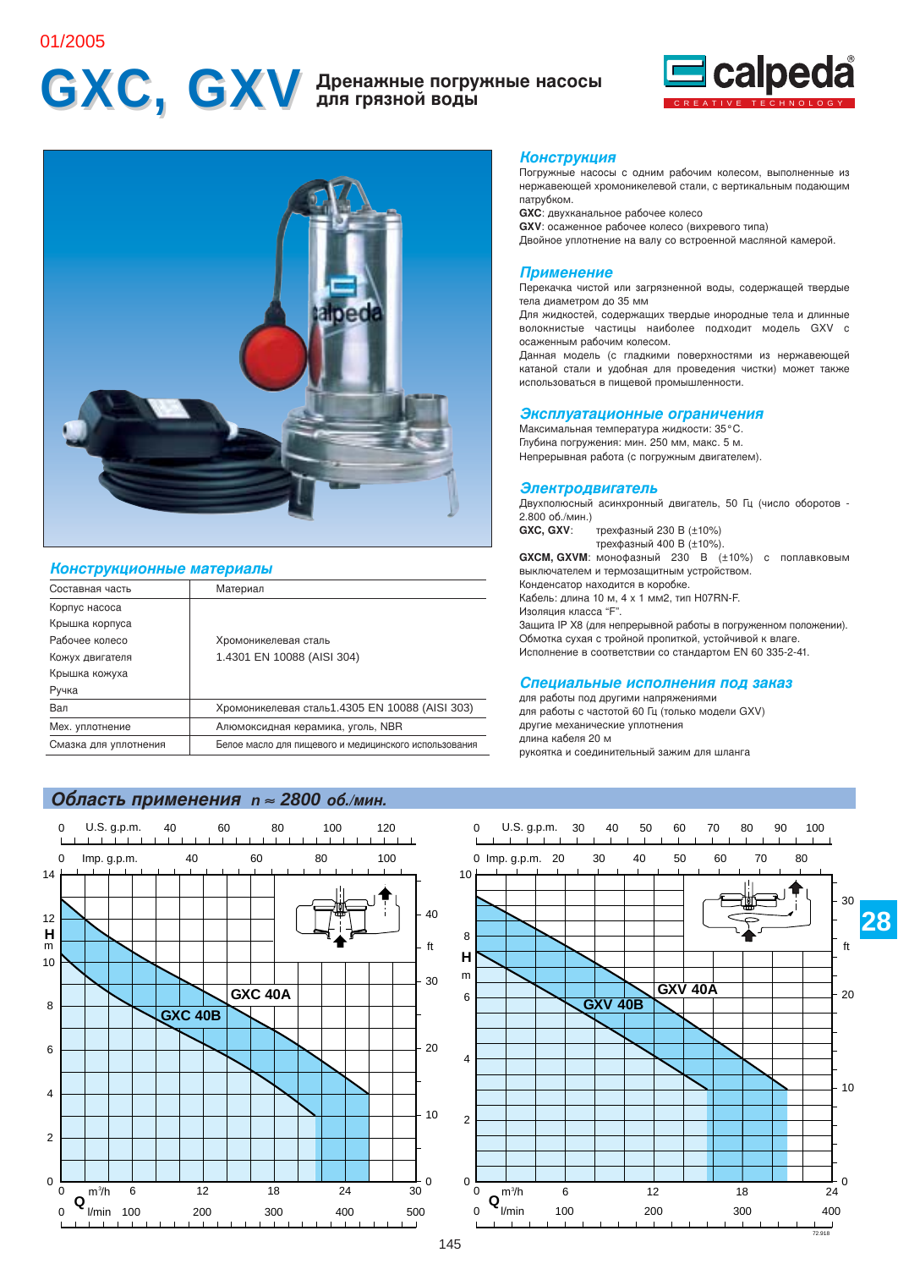## 01/2005

# GXC, GXV Дренажные погружные насосы





## Конструкционные материалы

| Составная часть       | Материал                                              |
|-----------------------|-------------------------------------------------------|
| Корпус насоса         |                                                       |
| Крышка корпуса        |                                                       |
| Рабочее колесо        | Хромоникелевая сталь                                  |
| Кожух двигателя       | 1.4301 EN 10088 (AISI 304)                            |
| Крышка кожуха         |                                                       |
| Ручка                 |                                                       |
| Вал                   | Хромоникелевая сталь 1.4305 EN 10088 (AISI 303)       |
| Мех. уплотнение       | Алюмоксидная керамика, уголь, NBR                     |
| Смазка для уплотнения | Белое масло для пишевого и медицинского использования |
|                       |                                                       |

## Область применения n ≈ 2800 об./мин.



### **Конструкция**

Погружные насосы с одним рабочим колесом, выполненные из нержавеющей хромоникелевой стали, с вертикальным подающим патрубком.

**GXC**: двухканальное рабочее колесо

GXV: осаженное рабочее колесо (вихревого типа)

Двойное уплотнение на валу со встроенной масляной камерой.

## Применение

Перекачка чистой или загрязненной воды, содержащей твердые тела диаметром до 35 мм

Для жидкостей, содержащих твердые инородные тела и длинные волокнистые частицы наиболее подходит модель GXV с осаженным рабочим колесом.

Данная модель (с гладкими поверхностями из нержавеющей катаной стали и удобная для проведения чистки) может также использоваться в пищевой промышленности.

### Эксплуатационные ограничения

Максимальная температура жидкости: 35°С. Глубина погружения: мин. 250 мм, макс. 5 м. Непрерывная работа (с погружным двигателем).

### Электродвигатель

Двухполюсный асинхронный двигатель, 50 Гц (число оборотов -2.800 об./мин.)

трехфазный 230 В (±10%) GXC. GXV: трехфазный 400 В (±10%).

GXCM, GXVM: монофазный 230 В (±10%) с поплавковым выключателем и термозащитным устройством. Конденсатор находится в коробке.

Кабель: длина 10 м, 4 х 1 мм2, тип H07RN-F. Изоляция класса "F".

Защита IP X8 (для непрерывной работы в погруженном положении). Обмотка сухая с тройной пропиткой, устойчивой к влаге. Исполнение в соответствии со стандартом EN 60 335-2-41.

### Специальные исполнения под заказ

для работы под другими напряжениями для работы с частотой 60 Гц (только модели GXV) другие механические уплотнения длина кабеля 20 м рукоятка и соединительный зажим для шланга